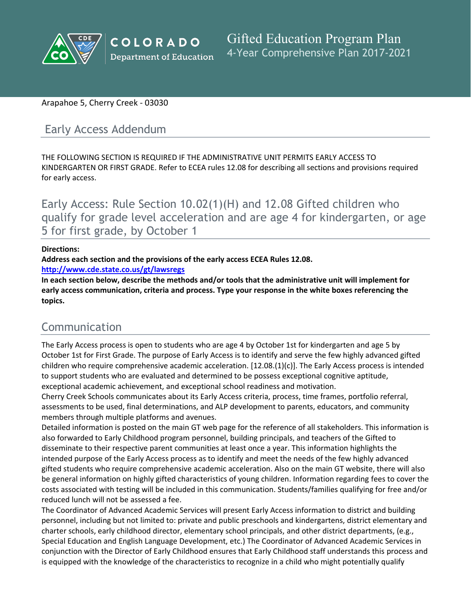

### Arapahoe 5, Cherry Creek - 03030

# Early Access Addendum

THE FOLLOWING SECTION IS REQUIRED IF THE ADMINISTRATIVE UNIT PERMITS EARLY ACCESS TO KINDERGARTEN OR FIRST GRADE. Refer to ECEA rules 12.08 for describing all sections and provisions required for early access.

Early Access: Rule Section 10.02(1)(H) and 12.08 Gifted children who qualify for grade level acceleration and are age 4 for kindergarten, or age 5 for first grade, by October 1

#### **Directions:**

**Address each section and the provisions of the early access ECEA Rules 12.08.**

**<http://www.cde.state.co.us/gt/lawsregs>**

**In each section below, describe the methods and/or tools that the administrative unit will implement for early access communication, criteria and process. Type your response in the white boxes referencing the topics.**

# Communication

The Early Access process is open to students who are age 4 by October 1st for kindergarten and age 5 by October 1st for First Grade. The purpose of Early Access is to identify and serve the few highly advanced gifted children who require comprehensive academic acceleration. [12.08.(1)(c)]. The Early Access process is intended to support students who are evaluated and determined to be possess exceptional cognitive aptitude, exceptional academic achievement, and exceptional school readiness and motivation.

Cherry Creek Schools communicates about its Early Access criteria, process, time frames, portfolio referral, assessments to be used, final determinations, and ALP development to parents, educators, and community members through multiple platforms and avenues.

Detailed information is posted on the main GT web page for the reference of all stakeholders. This information is also forwarded to Early Childhood program personnel, building principals, and teachers of the Gifted to disseminate to their respective parent communities at least once a year. This information highlights the intended purpose of the Early Access process as to identify and meet the needs of the few highly advanced gifted students who require comprehensive academic acceleration. Also on the main GT website, there will also be general information on highly gifted characteristics of young children. Information regarding fees to cover the costs associated with testing will be included in this communication. Students/families qualifying for free and/or reduced lunch will not be assessed a fee.

The Coordinator of Advanced Academic Services will present Early Access information to district and building personnel, including but not limited to: private and public preschools and kindergartens, district elementary and charter schools, early childhood director, elementary school principals, and other district departments, (e.g., Special Education and English Language Development, etc.) The Coordinator of Advanced Academic Services in conjunction with the Director of Early Childhood ensures that Early Childhood staff understands this process and is equipped with the knowledge of the characteristics to recognize in a child who might potentially qualify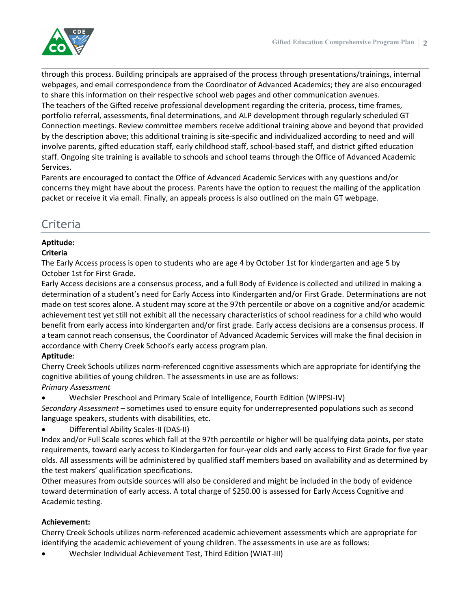

through this process. Building principals are appraised of the process through presentations/trainings, internal webpages, and email correspondence from the Coordinator of Advanced Academics; they are also encouraged to share this information on their respective school web pages and other communication avenues.

The teachers of the Gifted receive professional development regarding the criteria, process, time frames, portfolio referral, assessments, final determinations, and ALP development through regularly scheduled GT Connection meetings. Review committee members receive additional training above and beyond that provided by the description above; this additional training is site-specific and individualized according to need and will involve parents, gifted education staff, early childhood staff, school-based staff, and district gifted education staff. Ongoing site training is available to schools and school teams through the Office of Advanced Academic Services.

Parents are encouraged to contact the Office of Advanced Academic Services with any questions and/or concerns they might have about the process. Parents have the option to request the mailing of the application packet or receive it via email. Finally, an appeals process is also outlined on the main GT webpage.

# Criteria

## **Aptitude:**

#### **Criteria**

The Early Access process is open to students who are age 4 by October 1st for kindergarten and age 5 by October 1st for First Grade.

Early Access decisions are a consensus process, and a full Body of Evidence is collected and utilized in making a determination of a student's need for Early Access into Kindergarten and/or First Grade. Determinations are not made on test scores alone. A student may score at the 97th percentile or above on a cognitive and/or academic achievement test yet still not exhibit all the necessary characteristics of school readiness for a child who would benefit from early access into kindergarten and/or first grade. Early access decisions are a consensus process. If a team cannot reach consensus, the Coordinator of Advanced Academic Services will make the final decision in accordance with Cherry Creek School's early access program plan.

### **Aptitude**:

Cherry Creek Schools utilizes norm-referenced cognitive assessments which are appropriate for identifying the cognitive abilities of young children. The assessments in use are as follows: *Primary Assessment*

Wechsler Preschool and Primary Scale of Intelligence, Fourth Edition (WIPPSI-IV)

*Secondary Assessment* – sometimes used to ensure equity for underrepresented populations such as second language speakers, students with disabilities, etc.

Differential Ability Scales-II (DAS-II)

Index and/or Full Scale scores which fall at the 97th percentile or higher will be qualifying data points, per state requirements, toward early access to Kindergarten for four-year olds and early access to First Grade for five year olds. All assessments will be administered by qualified staff members based on availability and as determined by the test makers' qualification specifications.

Other measures from outside sources will also be considered and might be included in the body of evidence toward determination of early access. A total charge of \$250.00 is assessed for Early Access Cognitive and Academic testing.

### **Achievement:**

Cherry Creek Schools utilizes norm-referenced academic achievement assessments which are appropriate for identifying the academic achievement of young children. The assessments in use are as follows:

Wechsler Individual Achievement Test, Third Edition (WIAT-III)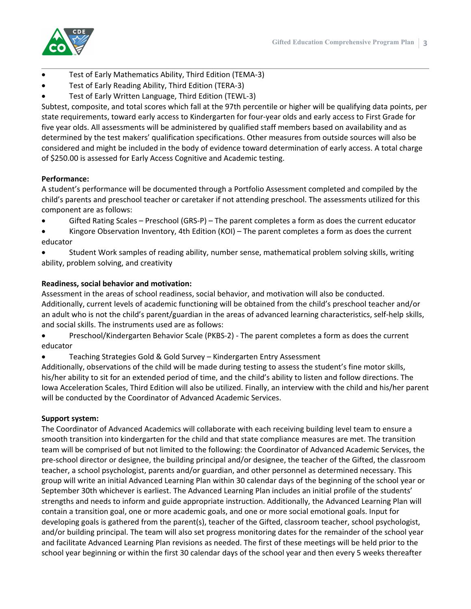

- Test of Early Mathematics Ability, Third Edition (TEMA-3)
- Test of Early Reading Ability, Third Edition (TERA-3)
- Test of Early Written Language, Third Edition (TEWL-3)

Subtest, composite, and total scores which fall at the 97th percentile or higher will be qualifying data points, per state requirements, toward early access to Kindergarten for four-year olds and early access to First Grade for five year olds. All assessments will be administered by qualified staff members based on availability and as determined by the test makers' qualification specifications. Other measures from outside sources will also be considered and might be included in the body of evidence toward determination of early access. A total charge of \$250.00 is assessed for Early Access Cognitive and Academic testing.

#### **Performance:**

A student's performance will be documented through a Portfolio Assessment completed and compiled by the child's parents and preschool teacher or caretaker if not attending preschool. The assessments utilized for this component are as follows:

- Gifted Rating Scales Preschool (GRS-P) The parent completes a form as does the current educator
- Kingore Observation Inventory, 4th Edition (KOI) The parent completes a form as does the current educator
- Student Work samples of reading ability, number sense, mathematical problem solving skills, writing ability, problem solving, and creativity

#### **Readiness, social behavior and motivation:**

Assessment in the areas of school readiness, social behavior, and motivation will also be conducted. Additionally, current levels of academic functioning will be obtained from the child's preschool teacher and/or an adult who is not the child's parent/guardian in the areas of advanced learning characteristics, self-help skills, and social skills. The instruments used are as follows:

 Preschool/Kindergarten Behavior Scale (PKBS-2) - The parent completes a form as does the current educator

Teaching Strategies Gold & Gold Survey – Kindergarten Entry Assessment

Additionally, observations of the child will be made during testing to assess the student's fine motor skills, his/her ability to sit for an extended period of time, and the child's ability to listen and follow directions. The Iowa Acceleration Scales, Third Edition will also be utilized. Finally, an interview with the child and his/her parent will be conducted by the Coordinator of Advanced Academic Services.

#### **Support system:**

The Coordinator of Advanced Academics will collaborate with each receiving building level team to ensure a smooth transition into kindergarten for the child and that state compliance measures are met. The transition team will be comprised of but not limited to the following: the Coordinator of Advanced Academic Services, the pre-school director or designee, the building principal and/or designee, the teacher of the Gifted, the classroom teacher, a school psychologist, parents and/or guardian, and other personnel as determined necessary. This group will write an initial Advanced Learning Plan within 30 calendar days of the beginning of the school year or September 30th whichever is earliest. The Advanced Learning Plan includes an initial profile of the students' strengths and needs to inform and guide appropriate instruction. Additionally, the Advanced Learning Plan will contain a transition goal, one or more academic goals, and one or more social emotional goals. Input for developing goals is gathered from the parent(s), teacher of the Gifted, classroom teacher, school psychologist, and/or building principal. The team will also set progress monitoring dates for the remainder of the school year and facilitate Advanced Learning Plan revisions as needed. The first of these meetings will be held prior to the school year beginning or within the first 30 calendar days of the school year and then every 5 weeks thereafter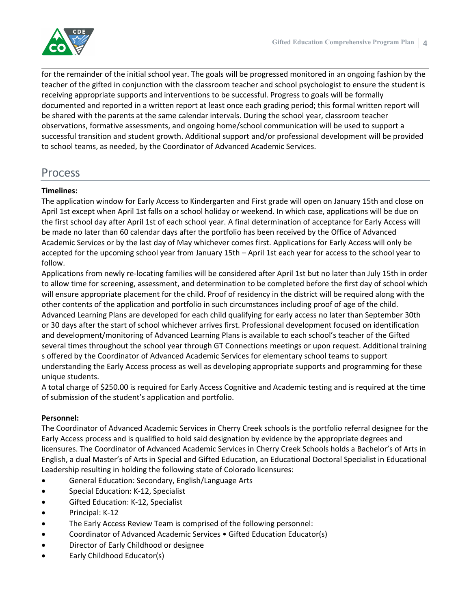for the remainder of the initial school year. The goals will be progressed monitored in an ongoing fashion by the teacher of the gifted in conjunction with the classroom teacher and school psychologist to ensure the student is receiving appropriate supports and interventions to be successful. Progress to goals will be formally documented and reported in a written report at least once each grading period; this formal written report will be shared with the parents at the same calendar intervals. During the school year, classroom teacher observations, formative assessments, and ongoing home/school communication will be used to support a successful transition and student growth. Additional support and/or professional development will be provided to school teams, as needed, by the Coordinator of Advanced Academic Services.

# Process

## **Timelines:**

The application window for Early Access to Kindergarten and First grade will open on January 15th and close on April 1st except when April 1st falls on a school holiday or weekend. In which case, applications will be due on the first school day after April 1st of each school year. A final determination of acceptance for Early Access will be made no later than 60 calendar days after the portfolio has been received by the Office of Advanced Academic Services or by the last day of May whichever comes first. Applications for Early Access will only be accepted for the upcoming school year from January 15th – April 1st each year for access to the school year to follow.

Applications from newly re-locating families will be considered after April 1st but no later than July 15th in order to allow time for screening, assessment, and determination to be completed before the first day of school which will ensure appropriate placement for the child. Proof of residency in the district will be required along with the other contents of the application and portfolio in such circumstances including proof of age of the child. Advanced Learning Plans are developed for each child qualifying for early access no later than September 30th or 30 days after the start of school whichever arrives first. Professional development focused on identification and development/monitoring of Advanced Learning Plans is available to each school's teacher of the Gifted several times throughout the school year through GT Connections meetings or upon request. Additional training s offered by the Coordinator of Advanced Academic Services for elementary school teams to support understanding the Early Access process as well as developing appropriate supports and programming for these unique students.

A total charge of \$250.00 is required for Early Access Cognitive and Academic testing and is required at the time of submission of the student's application and portfolio.

# **Personnel:**

The Coordinator of Advanced Academic Services in Cherry Creek schools is the portfolio referral designee for the Early Access process and is qualified to hold said designation by evidence by the appropriate degrees and licensures. The Coordinator of Advanced Academic Services in Cherry Creek Schools holds a Bachelor's of Arts in English, a dual Master's of Arts in Special and Gifted Education, an Educational Doctoral Specialist in Educational Leadership resulting in holding the following state of Colorado licensures:

- General Education: Secondary, English/Language Arts
- **Special Education: K-12, Specialist**
- Gifted Education: K-12, Specialist
- Principal: K-12
- The Early Access Review Team is comprised of the following personnel:
- Coordinator of Advanced Academic Services Gifted Education Educator(s)
- Director of Early Childhood or designee
- Early Childhood Educator(s)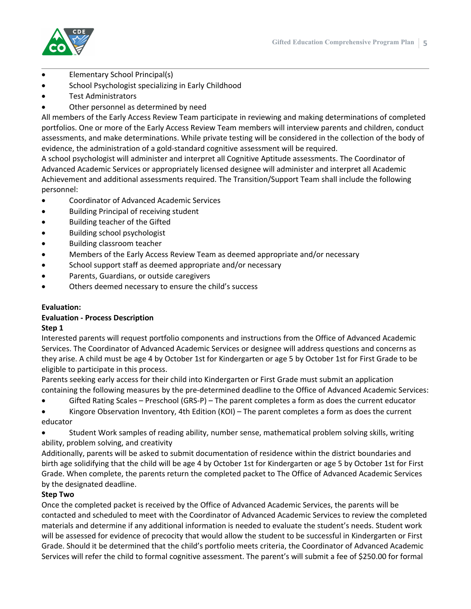

- Elementary School Principal(s)
- School Psychologist specializing in Early Childhood
- Test Administrators
- Other personnel as determined by need

All members of the Early Access Review Team participate in reviewing and making determinations of completed portfolios. One or more of the Early Access Review Team members will interview parents and children, conduct assessments, and make determinations. While private testing will be considered in the collection of the body of evidence, the administration of a gold-standard cognitive assessment will be required.

A school psychologist will administer and interpret all Cognitive Aptitude assessments. The Coordinator of Advanced Academic Services or appropriately licensed designee will administer and interpret all Academic Achievement and additional assessments required. The Transition/Support Team shall include the following personnel:

- Coordinator of Advanced Academic Services
- Building Principal of receiving student
- Building teacher of the Gifted
- Building school psychologist
- Building classroom teacher
- Members of the Early Access Review Team as deemed appropriate and/or necessary
- School support staff as deemed appropriate and/or necessary
- Parents, Guardians, or outside caregivers
- Others deemed necessary to ensure the child's success

#### **Evaluation:**

# **Evaluation - Process Description**

#### **Step 1**

Interested parents will request portfolio components and instructions from the Office of Advanced Academic Services. The Coordinator of Advanced Academic Services or designee will address questions and concerns as they arise. A child must be age 4 by October 1st for Kindergarten or age 5 by October 1st for First Grade to be eligible to participate in this process.

Parents seeking early access for their child into Kindergarten or First Grade must submit an application containing the following measures by the pre-determined deadline to the Office of Advanced Academic Services:

- Gifted Rating Scales Preschool (GRS-P) The parent completes a form as does the current educator
- Kingore Observation Inventory, 4th Edition (KOI) The parent completes a form as does the current educator
- Student Work samples of reading ability, number sense, mathematical problem solving skills, writing ability, problem solving, and creativity

Additionally, parents will be asked to submit documentation of residence within the district boundaries and birth age solidifying that the child will be age 4 by October 1st for Kindergarten or age 5 by October 1st for First Grade. When complete, the parents return the completed packet to The Office of Advanced Academic Services by the designated deadline.

#### **Step Two**

Once the completed packet is received by the Office of Advanced Academic Services, the parents will be contacted and scheduled to meet with the Coordinator of Advanced Academic Services to review the completed materials and determine if any additional information is needed to evaluate the student's needs. Student work will be assessed for evidence of precocity that would allow the student to be successful in Kindergarten or First Grade. Should it be determined that the child's portfolio meets criteria, the Coordinator of Advanced Academic Services will refer the child to formal cognitive assessment. The parent's will submit a fee of \$250.00 for formal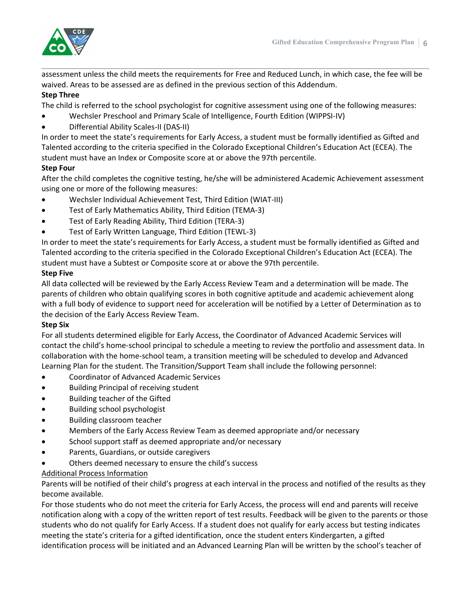

assessment unless the child meets the requirements for Free and Reduced Lunch, in which case, the fee will be waived. Areas to be assessed are as defined in the previous section of this Addendum.

## **Step Three**

The child is referred to the school psychologist for cognitive assessment using one of the following measures:

- Wechsler Preschool and Primary Scale of Intelligence, Fourth Edition (WIPPSI-IV)
- Differential Ability Scales-II (DAS-II)

In order to meet the state's requirements for Early Access, a student must be formally identified as Gifted and Talented according to the criteria specified in the Colorado Exceptional Children's Education Act (ECEA). The student must have an Index or Composite score at or above the 97th percentile.

# **Step Four**

After the child completes the cognitive testing, he/she will be administered Academic Achievement assessment using one or more of the following measures:

- Wechsler Individual Achievement Test, Third Edition (WIAT-III)
- Test of Early Mathematics Ability, Third Edition (TEMA-3)
- Test of Early Reading Ability, Third Edition (TERA-3)
- Test of Early Written Language, Third Edition (TEWL-3)

In order to meet the state's requirements for Early Access, a student must be formally identified as Gifted and Talented according to the criteria specified in the Colorado Exceptional Children's Education Act (ECEA). The student must have a Subtest or Composite score at or above the 97th percentile.

## **Step Five**

All data collected will be reviewed by the Early Access Review Team and a determination will be made. The parents of children who obtain qualifying scores in both cognitive aptitude and academic achievement along with a full body of evidence to support need for acceleration will be notified by a Letter of Determination as to the decision of the Early Access Review Team.

### **Step Six**

For all students determined eligible for Early Access, the Coordinator of Advanced Academic Services will contact the child's home-school principal to schedule a meeting to review the portfolio and assessment data. In collaboration with the home-school team, a transition meeting will be scheduled to develop and Advanced Learning Plan for the student. The Transition/Support Team shall include the following personnel:

- Coordinator of Advanced Academic Services
- Building Principal of receiving student
- Building teacher of the Gifted
- Building school psychologist
- Building classroom teacher
- Members of the Early Access Review Team as deemed appropriate and/or necessary
- School support staff as deemed appropriate and/or necessary
- Parents, Guardians, or outside caregivers
- Others deemed necessary to ensure the child's success

### Additional Process Information

Parents will be notified of their child's progress at each interval in the process and notified of the results as they become available.

For those students who do not meet the criteria for Early Access, the process will end and parents will receive notification along with a copy of the written report of test results. Feedback will be given to the parents or those students who do not qualify for Early Access. If a student does not qualify for early access but testing indicates meeting the state's criteria for a gifted identification, once the student enters Kindergarten, a gifted identification process will be initiated and an Advanced Learning Plan will be written by the school's teacher of